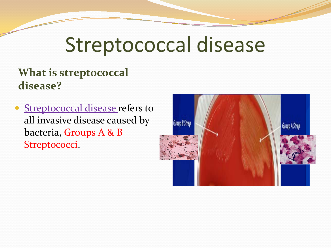# Streptococcal disease

#### **What is streptococcal disease?**

• Streptococcal disease refers to all invasive disease caused by bacteria, Groups A & B Streptococci.

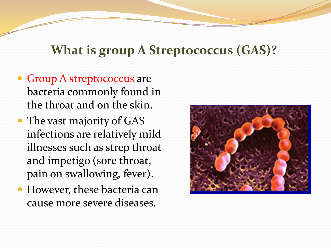## **What is group A Streptococcus (GAS)?**

- Group A streptococcus are bacteria commonly found in the throat and on the skin.
- The vast majority of GAS infections are relatively mild illnesses such as strep throat and impetigo (sore throat, pain on swallowing, fever).
- However, these bacteria can cause more severe diseases.

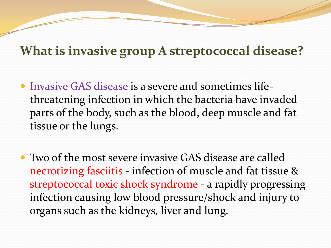### **What is invasive group A streptococcal disease?**

- Invasive GAS disease is a severe and sometimes lifethreatening infection in which the bacteria have invaded parts of the body, such as the blood, deep muscle and fat tissue or the lungs.
- Two of the most severe invasive GAS disease are called necrotizing fasciitis - infection of muscle and fat tissue & streptococcal toxic shock syndrome - a rapidly progressing infection causing low blood pressure/shock and injury to organs such as the kidneys, liver and lung.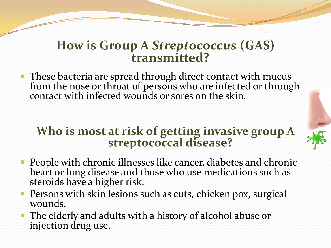#### **How is Group A** *Streptococcus* **(GAS) transmitted?**

• These bacteria are spread through direct contact with mucus from the nose or throat of persons who are infected or through contact with infected wounds or sores on the skin.

# **Who is most at risk of getting invasive group A streptococcal disease?**

- People with chronic illnesses like cancer, diabetes and chronic heart or lung disease and those who use medications such as steroids have a higher risk.
- Persons with skin lesions such as cuts, chicken pox, surgical wounds.
- The elderly and adults with a history of alcohol abuse or injection drug use.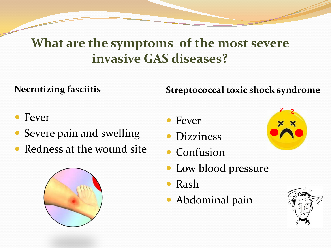## **What are the symptoms of the most severe invasive GAS diseases?**

#### **Necrotizing fasciitis**

#### **Streptococcal toxic shock syndrome**

- Fever
- Severe pain and swelling
- Redness at the wound site



- Fever
- **•** Dizziness
- Confusion
- Low blood pressure
- Rash
- Abdominal pain



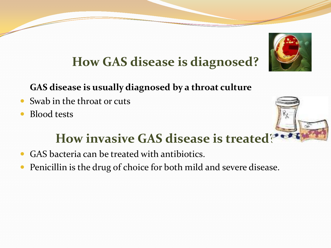

# **How GAS disease is diagnosed?**

#### **GAS disease is usually diagnosed by a throat culture**

- Swab in the throat or cuts
- Blood tests



# **How invasive GAS disease is treated[?](http://www.google.com/imgres?imgurl=http://thumbs.gograph.com/gg57451480.jpg&imgrefurl=http://www.gograph.com/stock-illustration/penicillin.html&usg=__-rg9eL4tYTqJfCeUMQVwrw4BA9g=&h=139&w=170&sz=6&hl=en&start=6&zoom=1&tbnid=PG-QVIGn8FPczM:&tbnh=81&tbnw=99&ei=LlVrUK2HMc2ayQHRwYHADA&prev=/search?q=Penicillin&hl=en&safe=active&sa=X&gbv=2&tbas=0&tbs=itp:clipart&tbm=isch&itbs=1)**

- GAS bacteria can be treated with antibiotics.
- Penicillin is the drug of choice for both mild and severe disease.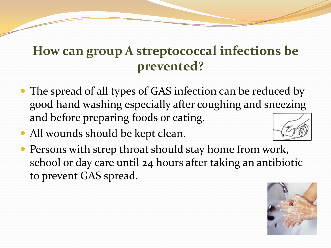# **How can group A streptococcal infections be prevented?**

- The spread of all types of GAS infection can be reduced by good hand washing especially after coughing and sneezing and before preparing foods or eating.
- All wounds should be kept clean.



• Persons with strep throat should stay home from work, school or day care until 24 hours after taking an antibiotic to prevent GAS spread.

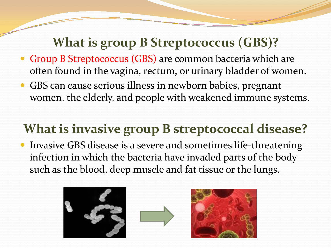## **What is group B Streptococcus (GBS)?**

- Group B Streptococcus (GBS) are common bacteria which are often found in the vagina, rectum, or urinary bladder of women.
- GBS can cause serious illness in newborn babies, pregnant women, the elderly, and people with weakened immune systems.

# **What is invasive group B streptococcal disease?**

 Invasive GBS disease is a severe and sometimes life-threatening infection in which the bacteria have invaded parts of the body such as the blood, deep muscle and fat tissue or the lungs.





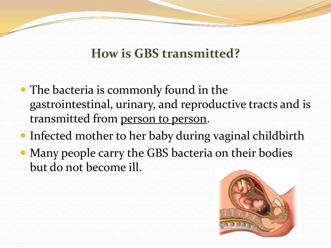## **How is GBS transmitted?**

- The bacteria is commonly found in the gastrointestinal, urinary, and reproductive tracts and is transmitted from person to person.
- Infected mother to her baby during vaginal childbirth
- Many people carry the GBS bacteria on their bodies but do not become ill.

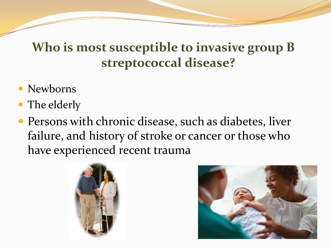## **Who is most susceptible to invasive group B streptococcal disease?**

- Newborns
- The elderly
- Persons with chronic disease, such as diabetes, liver failure, and history of stroke or cancer or those who have experienced recent trauma



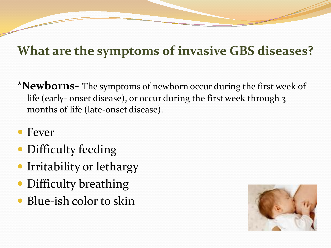# **What are the symptoms of invasive GBS diseases?**

- **\*Newborns-** The symptoms of newborn occur during the first week of life (early- onset disease), or occur during the first week through 3 months of life (late-onset disease).
- Fever
- Difficulty feeding
- Irritability or lethargy
- Difficulty breathing
- Blue-ish color to skin

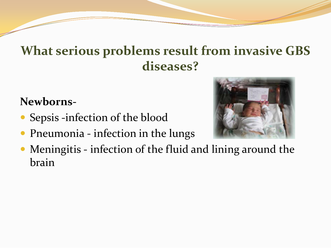## **What serious problems result from invasive GBS diseases?**

#### **Newborns-**

- Sepsis -infection of the blood
- Pneumonia infection in the lungs



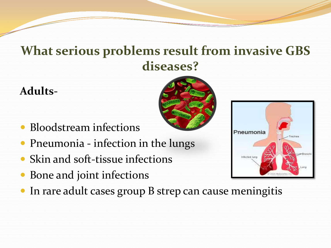## **What serious problems result from invasive GBS diseases?**

#### **Adults-**

- Bloodstream infections
- Pneumonia infection in the lungs
- Skin and soft-tissue infections
- Bone and joint infections
- In rare adult cases group B strep can cause meningitis

| Pneumonia     | Trachea                          |
|---------------|----------------------------------|
| Infected lung | Bronchi                          |
|               | Lung<br>2004, Medicine Net, Inc. |

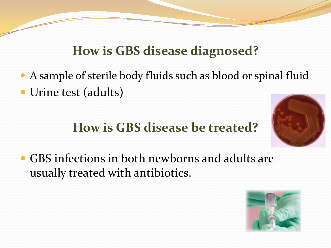# **How is GBS disease diagnosed?**

- A sample of sterile body fluids such as blood or spinal fluid
- Urine test (adults)

# **How is GBS disease be treated?**



 GBS infections in both newborns and adults are usually treated with antibiotics.